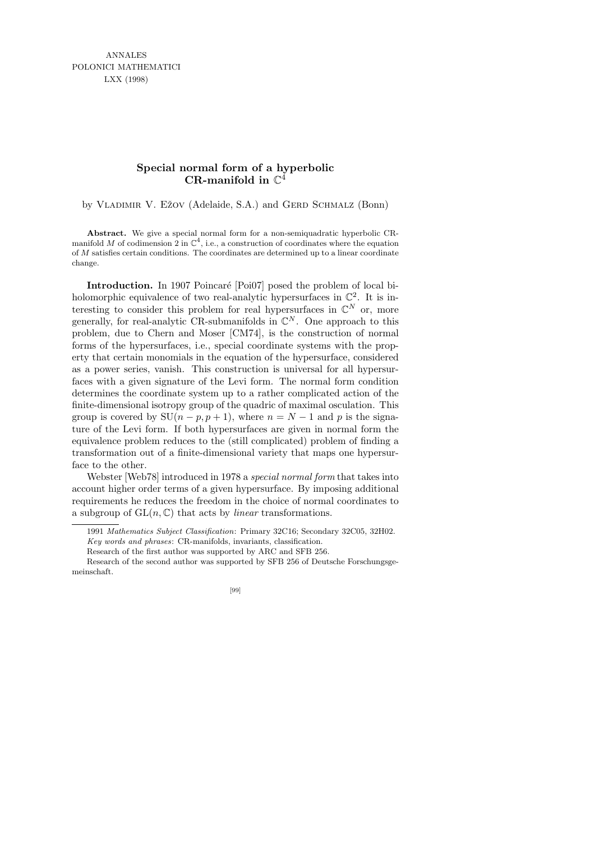ANNALES POLONICI MATHEMATICI LXX (1998)

## **Special normal form of a hyperbolic CR-manifold in** C 4

by VLADIMIR V. EŽOV (Adelaide, S.A.) and GERD SCHMALZ (Bonn)

**Abstract.** We give a special normal form for a non-semiquadratic hyperbolic CRmanifold M of codimension 2 in  $\mathbb{C}^4$ , i.e., a construction of coordinates where the equation of *M* satisfies certain conditions. The coordinates are determined up to a linear coordinate change.

Introduction. In 1907 Poincaré [Poi07] posed the problem of local biholomorphic equivalence of two real-analytic hypersurfaces in  $\mathbb{C}^2$ . It is interesting to consider this problem for real hypersurfaces in  $\mathbb{C}^N$  or, more generally, for real-analytic CR-submanifolds in  $\mathbb{C}^N$ . One approach to this problem, due to Chern and Moser [CM74], is the construction of normal forms of the hypersurfaces, i.e., special coordinate systems with the property that certain monomials in the equation of the hypersurface, considered as a power series, vanish. This construction is universal for all hypersurfaces with a given signature of the Levi form. The normal form condition determines the coordinate system up to a rather complicated action of the finite-dimensional isotropy group of the quadric of maximal osculation. This group is covered by  $SU(n - p, p + 1)$ , where  $n = N - 1$  and p is the signature of the Levi form. If both hypersurfaces are given in normal form the equivalence problem reduces to the (still complicated) problem of finding a transformation out of a finite-dimensional variety that maps one hypersurface to the other.

Webster [Web78] introduced in 1978 a special normal form that takes into account higher order terms of a given hypersurface. By imposing additional requirements he reduces the freedom in the choice of normal coordinates to a subgroup of  $GL(n, \mathbb{C})$  that acts by *linear* transformations.

Research of the second author was supported by SFB 256 of Deutsche Forschungsgemeinschaft.



<sup>1991</sup> *Mathematics Subject Classification*: Primary 32C16; Secondary 32C05, 32H02. *Key words and phrases*: CR-manifolds, invariants, classification.

Research of the first author was supported by ARC and SFB 256.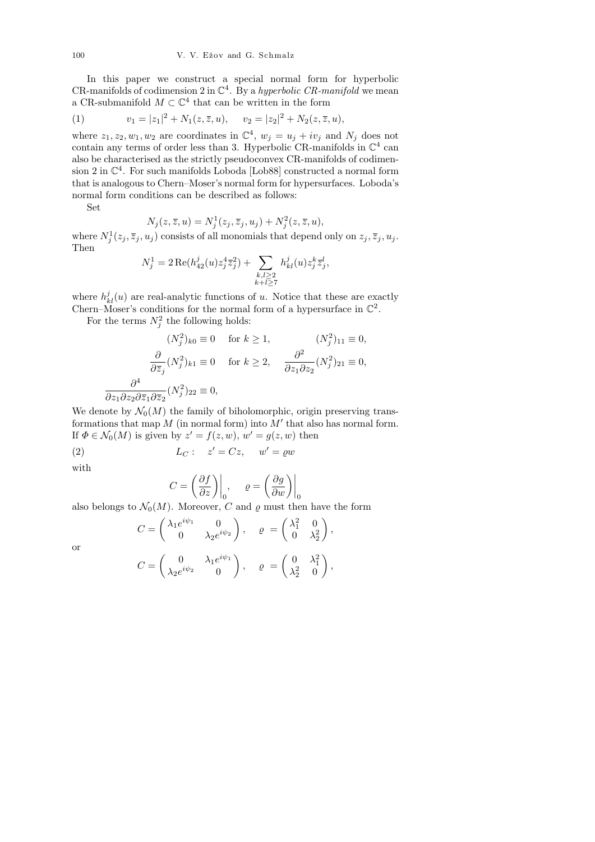In this paper we construct a special normal form for hyperbolic CR-manifolds of codimension 2 in  $\mathbb{C}^4$ . By a hyperbolic CR-manifold we mean a CR-submanifold  $M \subset \mathbb{C}^4$  that can be written in the form

(1) 
$$
v_1 = |z_1|^2 + N_1(z, \overline{z}, u), \quad v_2 = |z_2|^2 + N_2(z, \overline{z}, u),
$$

where  $z_1, z_2, w_1, w_2$  are coordinates in  $\mathbb{C}^4$ ,  $w_j = u_j + iv_j$  and  $N_j$  does not contain any terms of order less than 3. Hyperbolic CR-manifolds in  $\mathbb{C}^4$  can also be characterised as the strictly pseudoconvex CR-manifolds of codimension 2 in  $\mathbb{C}^4$ . For such manifolds Loboda [Lob88] constructed a normal form that is analogous to Chern–Moser's normal form for hypersurfaces. Loboda's normal form conditions can be described as follows:

Set

$$
N_j(z, \overline{z}, u) = N_j^1(z_j, \overline{z}_j, u_j) + N_j^2(z, \overline{z}, u),
$$

where  $N_j^1(z_j, \overline{z}_j, u_j)$  consists of all monomials that depend only on  $z_j, \overline{z}_j, u_j$ . Then

$$
N_j^1 = 2 \operatorname{Re}(h_{42}^j(u) z_j^4 \overline{z}_j^2) + \sum_{\substack{k,l \geq 2 \\ k+l \geq 7}} h_{kl}^j(u) z_j^k \overline{z}_j^l,
$$

where  $h_{kl}^{j}(u)$  are real-analytic functions of u. Notice that these are exactly Chern–Moser's conditions for the normal form of a hypersurface in  $\mathbb{C}^2$ .

For the terms  $N_j^2$  the following holds:

$$
(N_j^2)_{k0} \equiv 0 \quad \text{for } k \ge 1,
$$
  
\n
$$
\frac{\partial}{\partial \overline{z}_j} (N_j^2)_{k1} \equiv 0 \quad \text{for } k \ge 2,
$$
  
\n
$$
\frac{\partial^2}{\partial z_1 \partial z_2} (N_j^2)_{22} \equiv 0,
$$
  
\n
$$
\frac{\partial^4}{\partial z_1 \partial z_2 \partial \overline{z}_1 \partial \overline{z}_2} (N_j^2)_{22} \equiv 0,
$$

We denote by  $\mathcal{N}_0(M)$  the family of biholomorphic, origin preserving transformations that map  $M$  (in normal form) into  $M'$  that also has normal form. If  $\Phi \in \mathcal{N}_0(M)$  is given by  $z' = f(z, w)$ ,  $w' = g(z, w)$  then

(2) 
$$
L_C: z' = Cz, w' = \varrho w
$$

with

$$
C = \left(\frac{\partial f}{\partial z}\right)\Big|_{0}, \qquad \varrho = \left(\frac{\partial g}{\partial w}\right)\Big|_{0}
$$

also belongs to  $\mathcal{N}_0(M)$ . Moreover, C and  $\varrho$  must then have the form

$$
C = \begin{pmatrix} \lambda_1 e^{i\psi_1} & 0 \\ 0 & \lambda_2 e^{i\psi_2} \end{pmatrix}, \quad \varrho = \begin{pmatrix} \lambda_1^2 & 0 \\ 0 & \lambda_2^2 \end{pmatrix},
$$

or

$$
C = \begin{pmatrix} 0 & \lambda_1 e^{i\psi_1} \\ \lambda_2 e^{i\psi_2} & 0 \end{pmatrix}, \quad \varrho = \begin{pmatrix} 0 & \lambda_1^2 \\ \lambda_2^2 & 0 \end{pmatrix},
$$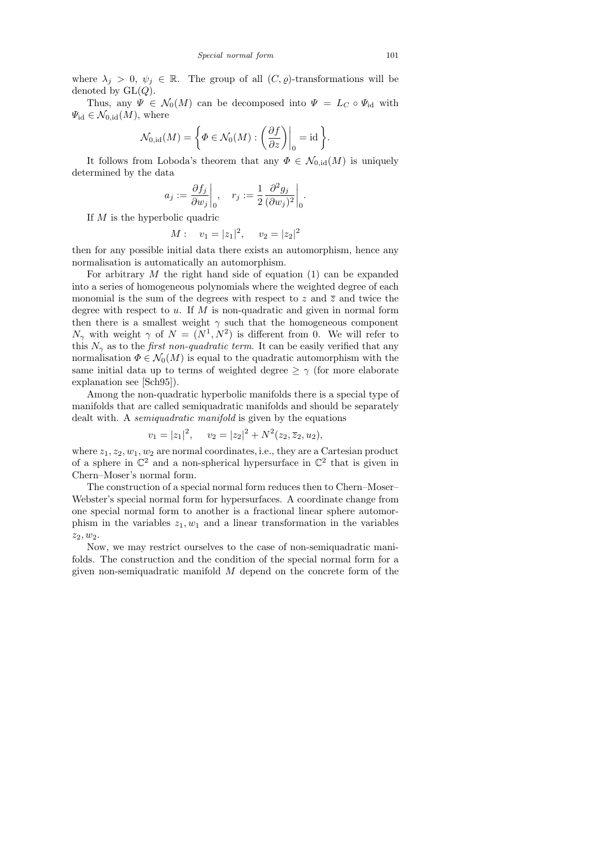where  $\lambda_j > 0$ ,  $\psi_j \in \mathbb{R}$ . The group of all  $(C, \varrho)$ -transformations will be denoted by  $GL(Q)$ .

Thus, any  $\Psi \in \mathcal{N}_0(M)$  can be decomposed into  $\Psi = L_C \circ \Psi_{\text{id}}$  with  $\Psi_{\rm id} \in \mathcal{N}_{0,\rm id}(M)$ , where

$$
\mathcal{N}_{0,\text{id}}(M) = \left\{ \Phi \in \mathcal{N}_0(M) : \left( \frac{\partial f}{\partial z} \right) \Big|_0 = \text{id} \right\}.
$$

It follows from Loboda's theorem that any  $\Phi \in \mathcal{N}_{0,\text{id}}(M)$  is uniquely determined by the data

$$
a_j := \frac{\partial f_j}{\partial w_j}\bigg|_0, \quad r_j := \frac{1}{2} \frac{\partial^2 g_j}{(\partial w_j)^2}\bigg|_0.
$$

If M is the hyperbolic quadric

$$
M: \quad v_1 = |z_1|^2, \quad v_2 = |z_2|^2
$$

then for any possible initial data there exists an automorphism, hence any normalisation is automatically an automorphism.

For arbitrary  $M$  the right hand side of equation (1) can be expanded into a series of homogeneous polynomials where the weighted degree of each monomial is the sum of the degrees with respect to z and  $\overline{z}$  and twice the degree with respect to  $u$ . If  $M$  is non-quadratic and given in normal form then there is a smallest weight  $\gamma$  such that the homogeneous component  $N_{\gamma}$  with weight  $\gamma$  of  $N = (N^1, N^2)$  is different from 0. We will refer to this  $N_{\gamma}$  as to the *first non-quadratic term*. It can be easily verified that any normalisation  $\Phi \in \mathcal{N}_0(M)$  is equal to the quadratic automorphism with the same initial data up to terms of weighted degree  $\geq \gamma$  (for more elaborate explanation see [Sch95]).

Among the non-quadratic hyperbolic manifolds there is a special type of manifolds that are called semiquadratic manifolds and should be separately dealt with. A *semiquadratic manifold* is given by the equations

$$
v_1 = |z_1|^2, \quad v_2 = |z_2|^2 + N^2(z_2, \overline{z}_2, u_2),
$$

where  $z_1, z_2, w_1, w_2$  are normal coordinates, i.e., they are a Cartesian product of a sphere in  $\mathbb{C}^2$  and a non-spherical hypersurface in  $\mathbb{C}^2$  that is given in Chern–Moser's normal form.

The construction of a special normal form reduces then to Chern–Moser– Webster's special normal form for hypersurfaces. A coordinate change from one special normal form to another is a fractional linear sphere automorphism in the variables  $z_1, w_1$  and a linear transformation in the variables  $z_2, w_2.$ 

Now, we may restrict ourselves to the case of non-semiquadratic manifolds. The construction and the condition of the special normal form for a given non-semiquadratic manifold  $M$  depend on the concrete form of the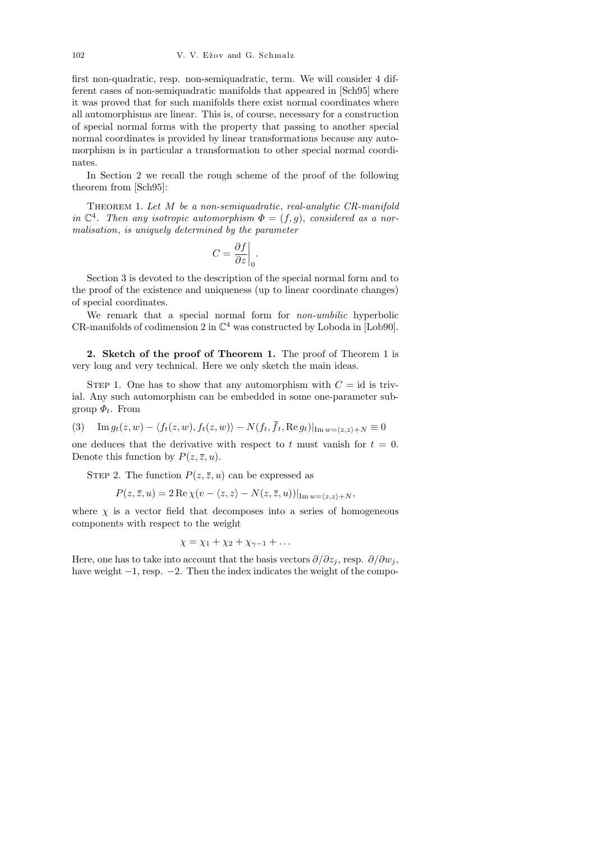first non-quadratic, resp. non-semiquadratic, term. We will consider 4 different cases of non-semiquadratic manifolds that appeared in [Sch95] where it was proved that for such manifolds there exist normal coordinates where all automorphisms are linear. This is, of course, necessary for a construction of special normal forms with the property that passing to another special normal coordinates is provided by linear transformations because any automorphism is in particular a transformation to other special normal coordinates.

In Section 2 we recall the rough scheme of the proof of the following theorem from [Sch95]:

THEOREM 1. Let M be a non-semiquadratic, real-analytic CR-manifold in  $\mathbb{C}^4$ . Then any isotropic automorphism  $\Phi = (f, g)$ , considered as a normalisation, is uniquely determined by the parameter

$$
C = \frac{\partial f}{\partial z}\bigg|_0.
$$

Section 3 is devoted to the description of the special normal form and to the proof of the existence and uniqueness (up to linear coordinate changes) of special coordinates.

We remark that a special normal form for *non-umbilic* hyperbolic CR-manifolds of codimension 2 in  $\mathbb{C}^4$  was constructed by Loboda in [Lob90].

2. Sketch of the proof of Theorem 1. The proof of Theorem 1 is very long and very technical. Here we only sketch the main ideas.

STEP 1. One has to show that any automorphism with  $C = id$  is trivial. Any such automorphism can be embedded in some one-parameter subgroup  $\Phi_t$ . From

(3) Im  $g_t(z, w) - \langle f_t(z, w), f_t(z, w) \rangle - N(f_t, \bar{f}_t, \text{Re } g_t) |_{\text{Im } w = \langle z, z \rangle + N} \equiv 0$ 

one deduces that the derivative with respect to t must vanish for  $t = 0$ . Denote this function by  $P(z, \overline{z}, u)$ .

STEP 2. The function  $P(z, \overline{z}, u)$  can be expressed as

 $P(z, \overline{z}, u) = 2 \operatorname{Re} \chi(v - \langle z, z \rangle - N(z, \overline{z}, u))|_{\operatorname{Im} w = \langle z, z \rangle + N}$ 

where  $\chi$  is a vector field that decomposes into a series of homogeneous components with respect to the weight

$$
\chi = \chi_1 + \chi_2 + \chi_{\gamma-1} + \ldots
$$

Here, one has to take into account that the basis vectors  $\partial/\partial z_j$ , resp.  $\partial/\partial w_j$ , have weight −1, resp. −2. Then the index indicates the weight of the compo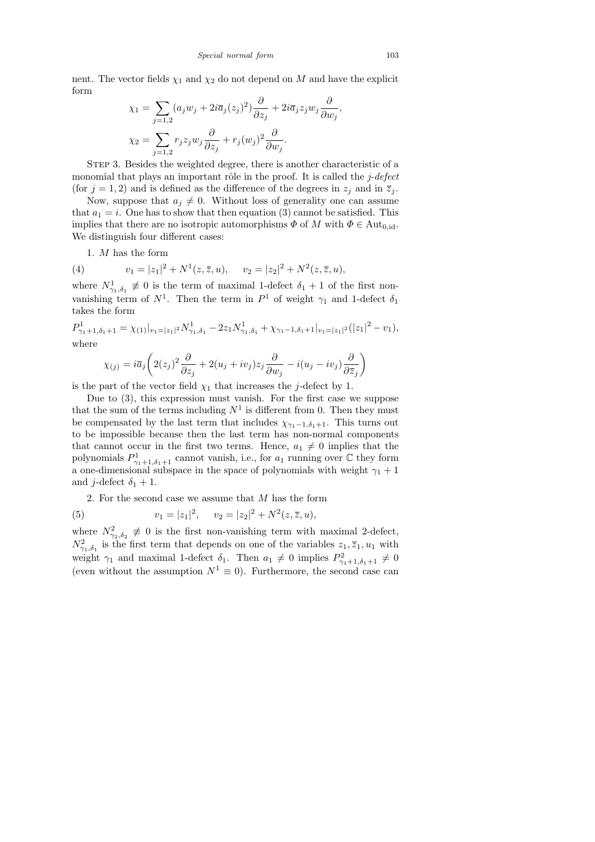nent. The vector fields  $\chi_1$  and  $\chi_2$  do not depend on M and have the explicit form

$$
\chi_1 = \sum_{j=1,2} (a_j w_j + 2i\overline{a}_j (z_j)^2) \frac{\partial}{\partial z_j} + 2i\overline{a}_j z_j w_j \frac{\partial}{\partial w_j},
$$
  

$$
\chi_2 = \sum_{j=1,2} r_j z_j w_j \frac{\partial}{\partial z_j} + r_j (w_j)^2 \frac{\partial}{\partial w_j}.
$$

STEP 3. Besides the weighted degree, there is another characteristic of a monomial that plays an important rôle in the proof. It is called the  $j$ -defect (for  $j = 1, 2$ ) and is defined as the difference of the degrees in  $z_j$  and in  $\overline{z_j}$ .

Now, suppose that  $a_j \neq 0$ . Without loss of generality one can assume that  $a_1 = i$ . One has to show that then equation (3) cannot be satisfied. This implies that there are no isotropic automorphisms  $\Phi$  of M with  $\Phi \in \text{Aut}_{0, id}$ . We distinguish four different cases:

1. M has the form

(4) 
$$
v_1 = |z_1|^2 + N^1(z, \overline{z}, u), \quad v_2 = |z_2|^2 + N^2(z, \overline{z}, u),
$$

where  $N^1_{\gamma_1,\delta_1} \not\equiv 0$  is the term of maximal 1-defect  $\delta_1 + 1$  of the first nonvanishing term of  $N^1$ . Then the term in  $P^1$  of weight  $\gamma_1$  and 1-defect  $\delta_1$ takes the form

$$
P_{\gamma_1+1,\delta_1+1}^1 = \chi_{(1)}|_{v_1=|z_1|^2} N_{\gamma_1,\delta_1}^1 - 2z_1 N_{\gamma_1,\delta_1}^1 + \chi_{\gamma_1-1,\delta_1+1}|_{v_1=|z_1|^2} (|z_1|^2 - v_1),
$$
  
where

$$
\chi_{(j)} = i\overline{a}_j \left( 2(z_j)^2 \frac{\partial}{\partial z_j} + 2(u_j + iv_j) z_j \frac{\partial}{\partial w_j} - i(u_j - iv_j) \frac{\partial}{\partial \overline{z}_j} \right)
$$

is the part of the vector field  $\chi_1$  that increases the j-defect by 1.

Due to (3), this expression must vanish. For the first case we suppose that the sum of the terms including  $N^1$  is different from 0. Then they must be compensated by the last term that includes  $\chi_{\gamma_1-1,\delta_1+1}$ . This turns out to be impossible because then the last term has non-normal components that cannot occur in the first two terms. Hence,  $a_1 \neq 0$  implies that the polynomials  $P_{\gamma_1+1,\delta_1+1}^1$  cannot vanish, i.e., for  $a_1$  running over  $\mathbb C$  they form a one-dimensional subspace in the space of polynomials with weight  $\gamma_1 + 1$ and *j*-defect  $\delta_1 + 1$ .

2. For the second case we assume that  $M$  has the form

(5) 
$$
v_1 = |z_1|^2
$$
,  $v_2 = |z_2|^2 + N^2(z, \overline{z}, u)$ ,

where  $N_{\gamma_2,\delta_2}^2 \not\equiv 0$  is the first non-vanishing term with maximal 2-defect,  $N_{\gamma_1,\delta_1}^2$  is the first term that depends on one of the variables  $z_1,\overline{z}_1,u_1$  with weight  $\gamma_1$  and maximal 1-defect  $\delta_1$ . Then  $a_1 \neq 0$  implies  $P^2_{\gamma_1+1,\delta_1+1} \neq 0$ (even without the assumption  $N^1 \equiv 0$ ). Furthermore, the second case can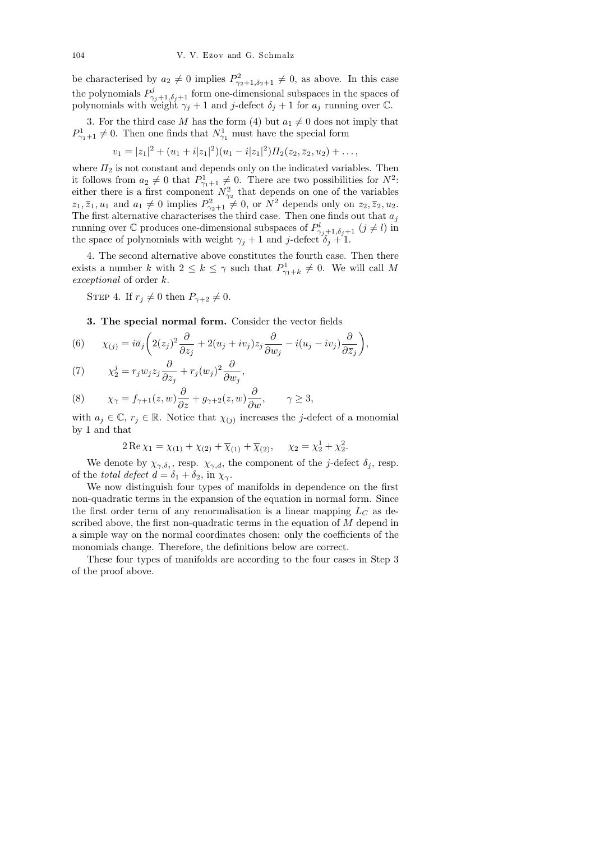be characterised by  $a_2 \neq 0$  implies  $P_{\gamma_2+1,\delta_2+1}^2 \neq 0$ , as above. In this case the polynomials  $P^j_{\gamma_j+1,\delta_j+1}$  form one-dimensional subspaces in the spaces of polynomials with weight  $\gamma_j + 1$  and j-defect  $\delta_j + 1$  for  $a_j$  running over C.

3. For the third case M has the form (4) but  $a_1 \neq 0$  does not imply that  $P_{\gamma_1+1}^1 \neq 0$ . Then one finds that  $N_{\gamma_1}^1$  must have the special form

$$
v_1=|z_1|^2+(u_1+i|z_1|^2)(u_1-i|z_1|^2)II_2(z_2,\overline{z}_2,u_2)+\ldots,
$$

where  $\Pi_2$  is not constant and depends only on the indicated variables. Then it follows from  $a_2 \neq 0$  that  $P_{\gamma_1+1}^1 \neq 0$ . There are two possibilities for  $N^2$ : either there is a first component  $N_{\gamma_2}^2$  that depends on one of the variables  $z_1, \overline{z}_1, u_1$  and  $a_1 \neq 0$  implies  $P_{\gamma_2+1}^2 \neq 0$ , or  $N^2$  depends only on  $z_2, \overline{z}_2, u_2$ . The first alternative characterises the third case. Then one finds out that  $a_j$ running over  $\mathbb C$  produces one-dimensional subspaces of  $P^l_{\gamma_j+1,\delta_j+1}$   $(j \neq l)$  in the space of polynomials with weight  $\gamma_j + 1$  and j-defect  $\delta_j + 1$ .

4. The second alternative above constitutes the fourth case. Then there exists a number k with  $2 \leq k \leq \gamma$  such that  $P_{\gamma_1+k}^1 \neq 0$ . We will call M exceptional of order k.

STEP 4. If  $r_i \neq 0$  then  $P_{\gamma+2} \neq 0$ .

3. The special normal form. Consider the vector fields

(6) 
$$
\chi_{(j)} = i\overline{a}_j \left( 2(z_j)^2 \frac{\partial}{\partial z_j} + 2(u_j + iv_j) z_j \frac{\partial}{\partial w_j} - i(u_j - iv_j) \frac{\partial}{\partial \overline{z}_j} \right),
$$

(7) 
$$
\chi_2^j = r_j w_j z_j \frac{\partial}{\partial z_j} + r_j (w_j)^2 \frac{\partial}{\partial w_j},
$$

(8) 
$$
\chi_{\gamma} = f_{\gamma+1}(z,w) \frac{\partial}{\partial z} + g_{\gamma+2}(z,w) \frac{\partial}{\partial w}, \qquad \gamma \ge 3,
$$

with  $a_j \in \mathbb{C}$ ,  $r_j \in \mathbb{R}$ . Notice that  $\chi_{(j)}$  increases the j-defect of a monomial by 1 and that

$$
2\operatorname{Re}\chi_1 = \chi_{(1)} + \chi_{(2)} + \overline{\chi}_{(1)} + \overline{\chi}_{(2)}, \quad \chi_2 = \chi_2^1 + \chi_2^2.
$$

We denote by  $\chi_{\gamma,\delta_j}$ , resp.  $\chi_{\gamma,d}$ , the component of the *j*-defect  $\delta_j$ , resp. of the total defect  $d = \delta_1 + \delta_2$ , in  $\chi_{\gamma}$ .

We now distinguish four types of manifolds in dependence on the first non-quadratic terms in the expansion of the equation in normal form. Since the first order term of any renormalisation is a linear mapping  $L<sub>C</sub>$  as described above, the first non-quadratic terms in the equation of  $M$  depend in a simple way on the normal coordinates chosen: only the coefficients of the monomials change. Therefore, the definitions below are correct.

These four types of manifolds are according to the four cases in Step 3 of the proof above.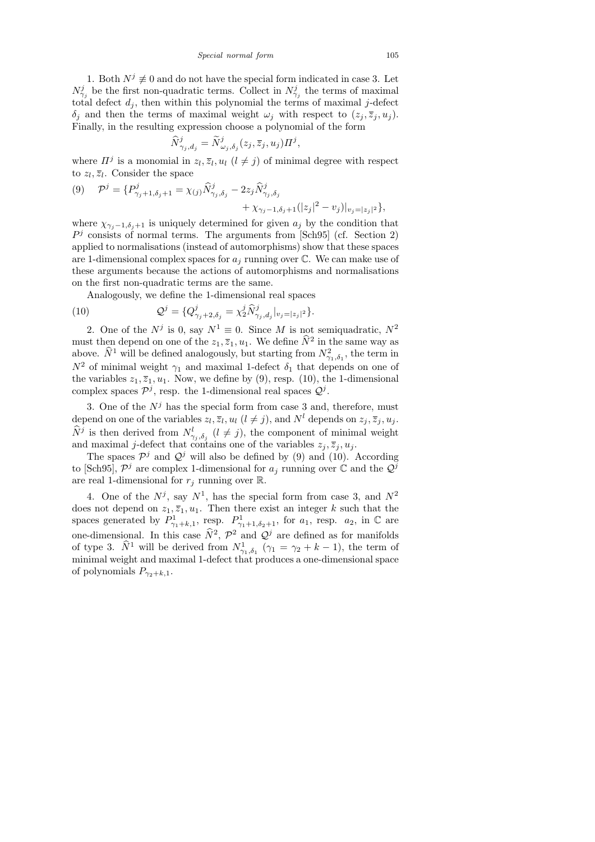*Special normal form* 105

1. Both  $N^j \neq 0$  and do not have the special form indicated in case 3. Let  $N_{\gamma_j}^j$  be the first non-quadratic terms. Collect in  $N_{\gamma_j}^j$  the terms of maximal total defect  $d_i$ , then within this polynomial the terms of maximal j-defect  $\delta_i$  and then the terms of maximal weight  $\omega_i$  with respect to  $(z_i, \overline{z}_i, u_i)$ . Finally, in the resulting expression choose a polynomial of the form

$$
\widehat{N}_{\gamma_j,d_j}^j = \widetilde{N}_{\omega_j,\delta_j}^j(z_j,\overline{z}_j,u_j) \Pi^j
$$

,

where  $\Pi^j$  is a monomial in  $z_l, \overline{z}_l, u_l$   $(l \neq j)$  of minimal degree with respect to  $z_l, \overline{z}_l$ . Consider the space

$$
(9) \quad \mathcal{P}^{j} = \{P^{j}_{\gamma_{j}+1,\delta_{j}+1} = \chi_{(j)}\widehat{N}^{j}_{\gamma_{j},\delta_{j}} - 2z_{j}\widehat{N}^{j}_{\gamma_{j},\delta_{j}} + \chi_{\gamma_{j}-1,\delta_{j}+1}(|z_{j}|^{2} - v_{j})|_{v_{j}=|z_{j}|^{2}}\},
$$

where  $\chi_{\gamma_i-1,\delta_i+1}$  is uniquely determined for given  $a_j$  by the condition that  $P<sup>j</sup>$  consists of normal terms. The arguments from [Sch95] (cf. Section 2) applied to normalisations (instead of automorphisms) show that these spaces are 1-dimensional complex spaces for  $a_j$  running over  $\mathbb C$ . We can make use of these arguments because the actions of automorphisms and normalisations on the first non-quadratic terms are the same.

Analogously, we define the 1-dimensional real spaces

(10) 
$$
\mathcal{Q}^j = \{Q^j_{\gamma_j+2,\delta_j} = \chi^j_2 \widehat{N}^j_{\gamma_j,d_j}|_{v_j=|z_j|^2}\}.
$$

2. One of the  $N^j$  is 0, say  $N^1 \equiv 0$ . Since M is not semiquadratic,  $N^2$ must then depend on one of the  $z_1, \overline{z}_1, u_1$ . We define  $\hat{N}^2$  in the same way as above.  $\hat{N}^1$  will be defined analogously, but starting from  $N_{\gamma_1,\delta_1}^2$ , the term in  $N^2$  of minimal weight  $\gamma_1$  and maximal 1-defect  $\delta_1$  that depends on one of the variables  $z_1, \overline{z}_1, u_1$ . Now, we define by (9), resp. (10), the 1-dimensional complex spaces  $\mathcal{P}^j$ , resp. the 1-dimensional real spaces  $\mathcal{Q}^j$ .

3. One of the  $N^j$  has the special form from case 3 and, therefore, must depend on one of the variables  $z_l, \overline{z}_l, u_l$   $(l \neq j)$ , and  $N^l$  depends on  $z_j, \overline{z}_j, u_j$ .  $\hat{N}^j$  is then derived from  $N^l_{\gamma_j,\delta_j}$   $(l \neq j)$ , the component of minimal weight and maximal j-defect that contains one of the variables  $z_j, \overline{z}_j, u_j$ .

The spaces  $\mathcal{P}^j$  and  $\mathcal{Q}^j$  will also be defined by (9) and (10). According to [Sch95],  $\mathcal{P}^j$  are complex 1-dimensional for  $a_j$  running over  $\mathbb C$  and the  $\mathcal{Q}^{\bar{j}}$ are real 1-dimensional for  $r_j$  running over  $\mathbb R$ .

4. One of the  $N^j$ , say  $N^1$ , has the special form from case 3, and  $N^2$ does not depend on  $z_1, \overline{z}_1, u_1$ . Then there exist an integer k such that the spaces generated by  $P_{\gamma_1+k,1}^1$ , resp.  $P_{\gamma_1+1,\delta_2+1}^1$ , for  $a_1$ , resp.  $a_2$ , in  $\mathbb C$  are one-dimensional. In this case  $\hat{N}^2$ ,  $\mathcal{P}^2$  and  $\mathcal{Q}^j$  are defined as for manifolds of type 3.  $\hat{N}^1$  will be derived from  $N^1_{\gamma_1,\delta_1}$  ( $\gamma_1 = \gamma_2 + k - 1$ ), the term of minimal weight and maximal 1-defect that produces a one-dimensional space of polynomials  $P_{\gamma_2+k,1}$ .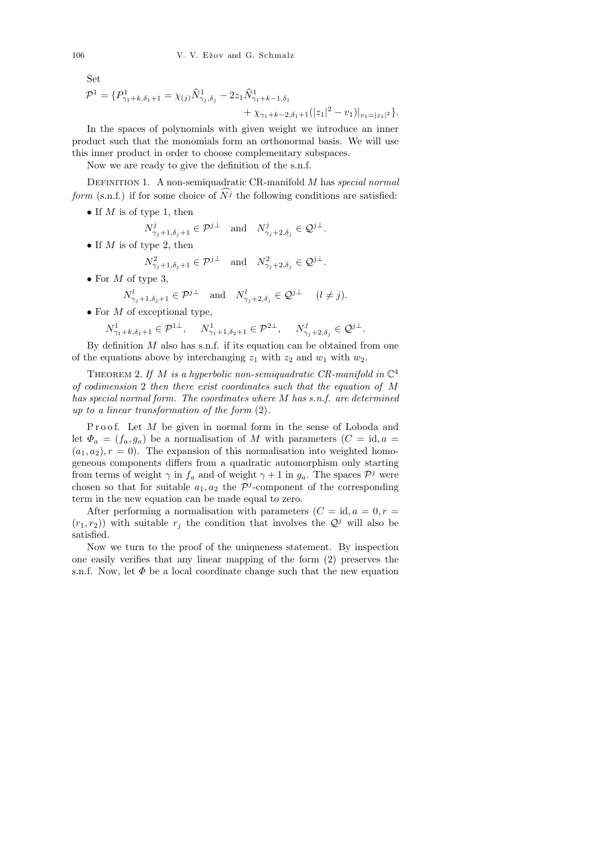Set

$$
\mathcal{P}^1 = \{ P^1_{\gamma_1 + k, \delta_1 + 1} = \chi_{(j)} \widehat{N}^1_{\gamma_j, \delta_j} - 2z_1 \widehat{N}^1_{\gamma_1 + k - 1, \delta_1} + \chi_{\gamma_1 + k - 2, \delta_1 + 1} (|z_1|^2 - v_1)|_{v_1 = |z_1|^2} \}.
$$

In the spaces of polynomials with given weight we introduce an inner product such that the monomials form an orthonormal basis. We will use this inner product in order to choose complementary subspaces.

Now we are ready to give the definition of the s.n.f.

DEFINITION 1. A non-semiquadratic CR-manifold  $M$  has special normal form (s.n.f.) if for some choice of  $N<sup>j</sup>$  the following conditions are satisfied:

• If M is of type 1, then

$$
N_{\gamma_j+1,\delta_j+1}^j\in\mathcal{P}^{j\perp}\quad\text{and}\quad N_{\gamma_j+2,\delta_j}^j\in\mathcal{Q}^{j\perp}.
$$

• If M is of type 2, then

$$
N_{\gamma_j+1,\delta_j+1}^2 \in \mathcal{P}^{j\perp} \quad \text{and} \quad N_{\gamma_j+2,\delta_j}^2 \in \mathcal{Q}^{j\perp}.
$$

• For  $M$  of type 3,

$$
N_{\gamma_j+1,\delta_j+1}^l \in \mathcal{P}^{j\perp} \quad \text{and} \quad N_{\gamma_j+2,\delta_j}^l \in \mathcal{Q}^{j\perp} \quad (l \neq j).
$$

• For  $M$  of exceptional type,

$$
N^1_{\gamma_1+k,\delta_1+1}\in\mathcal{P}^{1\perp},\quad \ N^1_{\gamma_1+1,\delta_2+1}\in\mathcal{P}^{2\perp},\quad \ N^j_{\gamma_j+2,\delta_j}\in\mathcal{Q}^{j\perp}.
$$

By definition  $M$  also has s.n.f. if its equation can be obtained from one of the equations above by interchanging  $z_1$  with  $z_2$  and  $w_1$  with  $w_2$ .

THEOREM 2. If M is a hyperbolic non-semiquadratic CR-manifold in  $\mathbb{C}^4$ of codimension 2 then there exist coordinates such that the equation of M has special normal form. The coordinates where M has s.n.f. are determined up to a linear transformation of the form (2).

Proof. Let  $M$  be given in normal form in the sense of Loboda and let  $\Phi_a = (f_a, g_a)$  be a normalisation of M with parameters  $(C = id, a =$  $(a_1, a_2), r = 0$ . The expansion of this normalisation into weighted homogeneous components differs from a quadratic automorphism only starting from terms of weight  $\gamma$  in  $f_a$  and of weight  $\gamma + 1$  in  $g_a$ . The spaces  $\mathcal{P}^j$  were chosen so that for suitable  $a_1, a_2$  the  $\mathcal{P}^j$ -component of the corresponding term in the new equation can be made equal to zero.

After performing a normalisation with parameters  $(C = id, a = 0, r = 1)$  $(r_1, r_2)$ ) with suitable  $r_j$  the condition that involves the  $\mathcal{Q}^j$  will also be satisfied.

Now we turn to the proof of the uniqueness statement. By inspection one easily verifies that any linear mapping of the form (2) preserves the s.n.f. Now, let  $\Phi$  be a local coordinate change such that the new equation